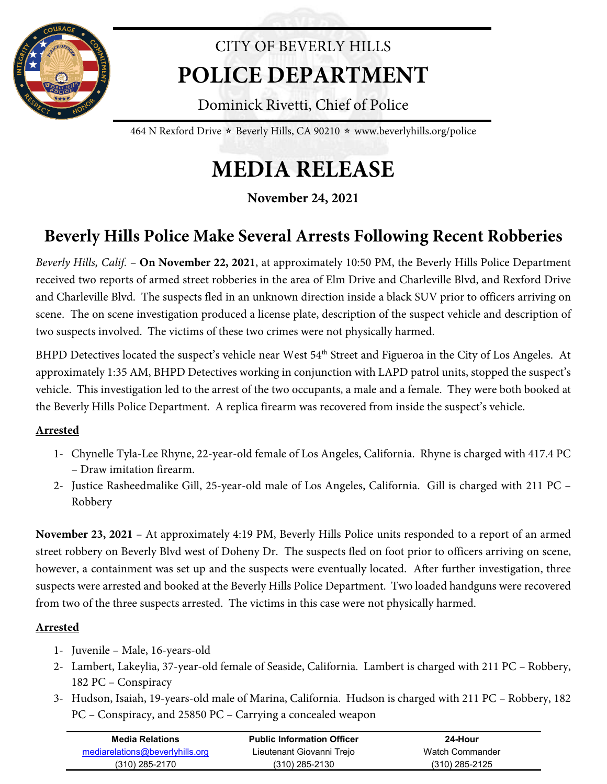

## CITY OF BEVERLY HILLS **POLICE DEPARTMENT**

Dominick Rivetti, Chief of Police

464 N Rexford Drive  $\star$  Beverly Hills, CA 90210  $\star$  www.beverlyhills.org/police

# **MEDIA RELEASE**

**November 24, 2021**

## **Beverly Hills Police Make Several Arrests Following Recent Robberies**

*Beverly Hills, Calif.* – **On November 22, 2021**, at approximately 10:50 PM, the Beverly Hills Police Department received two reports of armed street robberies in the area of Elm Drive and Charleville Blvd, and Rexford Drive and Charleville Blvd. The suspects fled in an unknown direction inside a black SUV prior to officers arriving on scene. The on scene investigation produced a license plate, description of the suspect vehicle and description of two suspects involved. The victims of these two crimes were not physically harmed.

BHPD Detectives located the suspect's vehicle near West 54<sup>th</sup> Street and Figueroa in the City of Los Angeles. At approximately 1:35 AM, BHPD Detectives working in conjunction with LAPD patrol units, stopped the suspect's vehicle. This investigation led to the arrest of the two occupants, a male and a female. They were both booked at the Beverly Hills Police Department. A replica firearm was recovered from inside the suspect's vehicle.

### **Arrested**

- 1- Chynelle Tyla-Lee Rhyne, 22-year-old female of Los Angeles, California. Rhyne is charged with 417.4 PC – Draw imitation firearm.
- 2- Justice Rasheedmalike Gill, 25-year-old male of Los Angeles, California. Gill is charged with 211 PC Robbery

**November 23, 2021 –** At approximately 4:19 PM, Beverly Hills Police units responded to a report of an armed street robbery on Beverly Blvd west of Doheny Dr. The suspects fled on foot prior to officers arriving on scene, however, a containment was set up and the suspects were eventually located. After further investigation, three suspects were arrested and booked at the Beverly Hills Police Department. Two loaded handguns were recovered from two of the three suspects arrested. The victims in this case were not physically harmed.

### **Arrested**

- 1- Juvenile Male, 16-years-old
- 2- Lambert, Lakeylia, 37-year-old female of Seaside, California. Lambert is charged with 211 PC Robbery, 182 PC – Conspiracy
- 3- Hudson, Isaiah, 19-years-old male of Marina, California. Hudson is charged with 211 PC Robbery, 182 PC – Conspiracy, and 25850 PC – Carrying a concealed weapon

|                                 | <b>Public Information Officer</b> | 24-Hour          |
|---------------------------------|-----------------------------------|------------------|
| mediarelations@beverlyhills.org | Lieutenant Giovanni Trejo         | Watch Commander  |
| (310) 285-2170                  | $(310)$ 285-2130                  | $(310)$ 285-2125 |